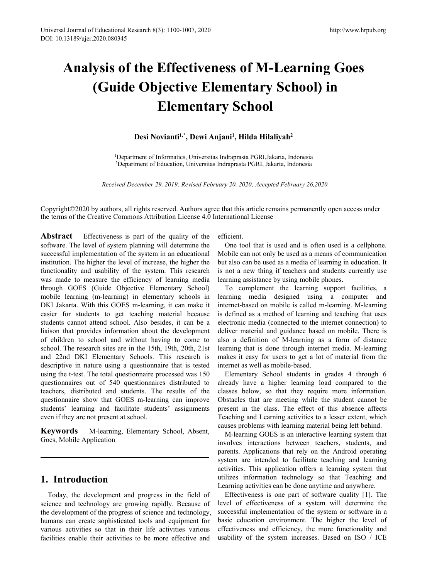# **Analysis of the Effectiveness of M-Learning Goes (Guide Objective Elementary School) in Elementary School)**<br> **Elementary School)**<br> **Elementary School**<br>
Desi Novianti<sup>1,\*</sup>, Dewi Anjani<sup>1</sup>, Hilda Hilaliyah<sup>2</sup><br>
ment of Informatics, Universitas Indraprasta PGRI, Jakarta, Indonesia<br>
tment of Education, Universita http://www.hrpub.or<br> **8 of M-Learning Goes<br>
entary School) in<br>
School<br>
, Hilda Hilaliyah<sup>2</sup><br>
prasta PGRI,Jakarta, Indonesia<br>
rasta PGRI,Jakarta, Indonesia<br>
rasta PGRI, Jakarta, Indonesia 10 of the Effectiveness of M-Learning Goes**<br> **110 of Objective Elementary School**<br> **110 Elementary School**<br> **110 Desi Novianti<sup>1,\*</sup>, Dewi Anjani<sup>1</sup>, Hilda Hilaliyah<sup>2</sup><br>
<sup>1</sup>Department of Informatics, Universitas Indraprast 2Department of Informatics, Universitas Indraprasta PGRI, Jakarta, Indonesia**<br>
2Department of Informatics, Universitas Indraprasta PGRI, Jakarta, Indonesia<br>
2Department of Informatics, Universitas Indraprasta PGRI, Jakart

*Received December 29, 2019; Revised February 20, 2020; Accepted February 26,2020*

Copyright©2020 by authors, all rights reserved. Authors agree that this article remains permanently open access under<br> *Received December 29, 2019; Revised February 20, 2020; Accepted February 26,2020*<br>
Copyright©2020 by The terms of the Creative Commons Attribution License 4.0 International License and is often used is a comparation CFE of the quality of the efficient.<br>
Substitution CFE of the quality of the efficient.<br>
Attribution Licens

**Abstract** Effectiveness is part of the quality of the steem. This parameters is particularly and the steel of the quality of the quality of the steemes in the steemes is part of the quality of the effectiveness 4.0 Intern Softwarm 1, Devi Anyami, Timat Timatyan<br>
<sup>1</sup>Department of Informatics, Universitas Indraprasta PGRI, Jakarta, Indonesia<br>
<sup>2</sup>Department of Education, Universitas Indraprasta PGRI, Jakarta, Indonesia<br> *Received December 29,* **Examplementation 12**<br> **Examplement of Education, Universitas Indraprasta PGRI, Jakarta,**<br> **Examplementation of Education, Universitas Indraprasta PGRI, Jakarta,**<br> **Received December 29, 2019; Revised February 20, 2020; A** <sup>1</sup>Department of Informatics, Universitas Indraprasta PGRI, Jakarta, Indonesia<br><sup>2</sup>Department of Education, Universitas Indraprasta PGRI, Jakarta, Indonesia<br><sup>2</sup>Department of Education, Universitas Indraprasta PGRI, Jakarta Functionality and usability of the system. This research is the system of DRI and the system of the SUSI and the system. The system of the Creative Commons Attribution License 4.0 International License the terms of the Cr Received December 29, 2019; Revised February 20, 2020; Accepted February<br>Copyright©2020 by authors, all rights reserved. Authors agree that this article remains pern<br>the terms of the Creative Commons Attribution License 4. Received December 29, 2019; Revised February 20, 2020; Accepted February Copyright@2020 by authors, all rights reserved. Authors agree that this article remains pe the terms of the Creative Commons Attribution License 4.0 Copyright©2020 by authors, all rights reserved. Authors agree that this article remains permane<br>the terms of the Creative Commons Attribution License 4.0 International License<br>**Abstract** Effectiveness is part of the qualit Copyright©2020 by authors, all rights reserved. Authors agree that this article remains permanent<br>
the terms of the Creative Commons Attribution License 4.0 International License<br> **Abstract** Effectiveness is part of the q Copyright©2020 by authors, all rights reserved. Authors agree that this article remains pe<br>the terms of the Creative Commons Attribution License 4.0 International License<br>**Abstract** Effectiveness is part of the quality of the terms of the Creative Commons Attribution License 4.0 International License<br> **Abstract** Effectiveness is part of the quality of the efficient.<br>
software. The level of system planning will determine the One tool that is **Abstract** Effectiveness is part of the quality of the efficient.<br>
software. The level of system planning will determine the One tool that is use<br>
successful implementation of the system in an educational Mobile can not on **Abstract** Effectiveness is part of the quality of the efficient.<br>
software. The level of system planning will determine the One tool that is used and is o<br>
successful implementation of the system in an educational Mobile software. The level of system planning will determine the One tool that is used and is successful implementation of the system in an educational Mobile can not only be used as institution. The higher the level of increase, successful implementation of the system in an educational<br>
institution. The higher the level of increase, the higher the but also can be used as a media of<br>
functionality and usability of the system. This research is not a institution. The higher the level of increase, the higher the but also can be used as a med<br>functionality and usability of the system. This research is not a new thing if teacher<br>was made to measure the efficiency of learn functionality and usability of the system. This research is not a new thing if teachers was made to measure the efficiency of learning media learning assistance by using mol<br>through GOES (Guide Objective Elementary School) was made to measure the efficiency of learning media learning assistance by using mobil through GOES (Guide Objective Elementary School) To complement the learnin mobile learning (m-learning) in elementary school) In the m through GOES (Guide Objective Elementary School) To complement the learnin mobile learning (m-learning) in elementary schools in learning media designed un DKI Jakarta. With this GOES m-learning, it can make it internet-ba mobile learning (m-learning) in elementary schools in learning media designe<br>
DKI Jakarta. With this GOES m-learning, it can make it internet-based on mobile is<br>
easier for students to get teaching material because is defi DKI Jakarta. With this GOES m-learning, it can make it internet-based on mobi<br>easier for students to get teaching material because is defined as a method<br>students cannot attend school. Also besides, it can be a electronic easier for students to get teaching material because is defired students cannot attend school. Also besides, it can be a electro liaison that provides information about the development deliver of children to school and wit Example 1 universal and the second that provides information about the development deliver material and guidant of children to school and without having to come to also a definition of M-lear school. The research sites are mason and provides information about the actions<br>of children to school and without having to conschool. The research sites are in the 15th, 19th, 20th<br>and 22nd DKI Elementary Schools. This researd<br>descriptive in nature usi liaison that provides information about the development<br>of children to school and without having to come to<br>school. The research sites are in the 15th, 19th, 20th, 21st<br>and 22nd DKI Elementary Schools. This research is<br>des

Today, the development and progress in the field of the consistence and entirities and the the metally and the set of the set of the set of the set of the set of the set of the set of the set of the set of the set of the s questionnaire show that GOES m-learning can improve Obstacles that are meeting whilenders' learning and facilitate students' assignments present in the class. The effect even if they are not present at school. The cance ar training and facilitate students' assignments present in the class. The equality of the properties of the class problems with learning component of the properties of the subset of the properties of science and technology a even if they are not present at school. Teaching and Learning activities<br> **Keywords** M-learning, Elementary School, Absent, M-learning GOES is an interactions<br>
Goes, Mobile Application<br>
For the subset of the sophications f **Example 19 Section** M-learning, Elementary School, Absent, and the M-learning GOES is an involves interactions between the involves interactions between the progress in the field of activities. This application the solern **Example 19 The South Control of the South Control of the South Consumer Special Special Special Special Special Special Special Special Special Special Special Special Special Special Special Special Special Special Speci** 

efficient.

Maximum Saman<br>
draprasta PGRI, Jakarta, Indonesia<br>
y 20, 2020; Accepted February 26,2020<br>
hat this article remains permanently open access under<br>
rational License<br>
ficient.<br>
One tool that is used and is often used is a cel Mobile can not only be used as a means of communication Indraprasta PGRI, Jakarta, Indonesia<br>
indraprasta PGRI, Jakarta, Indonesia<br> *uary 20, 2020; Accepted February 26, 2020*<br> **e** that this article remains permanently open access under<br>
efficient.<br> **One tool that is used and** indraprasia PORI, Jakaria, indonesia<br>
uary 20, 2020; Accepted February 26,2020<br>
e that this article remains permanently open access under<br>
terrational License<br>
efficient.<br>
One tool that is used and is often used is a cell ary 20, 2020; Accepted February 26, 2020<br>
e that this article remains permanently open access under<br>
ternational License<br>
efficient.<br>
One tool that is used and is often used is a cellphone.<br>
Mobile can not only be used as *y 20, 2020; Accepted February 26,2020*<br>
hat this article remains permanently open access under<br>
rational License<br>
ficient.<br>
One tool that is used and is often used is a cellphone.<br>
obile can not only be used as a means of

e that this article remains permanently open access under<br>ternational License<br>efficient.<br>One tool that is used and is often used is a cellphone.<br>Mobile can not only be used as a means of communication<br>but also can be used is that this article remains permanently open access under<br>ternational License<br>efficient.<br>One tool that is used and is often used is a cellphone.<br>Mobile can not only be used as a means of communication<br>but also can be used is that this article remains permanently open access under<br>ternational License<br>efficient.<br>One tool that is used and is often used is a cellphone.<br>Mobile can not only be used as a means of communication<br>but also can be used ternational License<br>
efficient.<br>
One tool that is used and is often used is a cellphone.<br>
Mobile can not only be used as a means of communication<br>
but also can be used as a media of learning in education. It<br>
is not a new efficient.<br>
One tool that is used and is often used is a cellphone.<br>
Mobile can not only be used as a means of communication<br>
but also can be used as a media of learning in education. It<br>
is not a new thing if teachers and efficient.<br>
One tool that is used and is often used is a cellphone.<br>
Mobile can not only be used as a means of communication<br>
but also can be used as a media of learning in education. It<br>
is not a new thing if teachers and One tool that is used and is often used is a cellphone.<br>
Mobile can not only be used as a means of communication<br>
but also can be used as a media of learning in education. It<br>
is not a new thing if teachers and students cu Mobile can not only be used as a means of communication<br>but also can be used as a media of learning in education. It<br>is not a new thing if teachers and students currently use<br>learning assistance by using mobile phones.<br>To but also can be used as a media of learning in education.<br>
is not a new thing if teachers and students currently u:<br>
learning assistance by using mobile phones.<br>
To complement the learning support facilities,<br>
learning med not a new thing if teachers and students currently use<br>
runing assistance by using mobile phones.<br>
To complement the learning support facilities, a<br>
runing media designed using a computer and<br>
ernet-based on mobile is call learning assistance by using mobile phones.<br>
To complement the learning support facilities, a<br>
learning media designed using a computer and<br>
internet-based on mobile is called m-learning. M-learning<br>
is defined as a method To complement the learning support facilities, a<br>learning media designed using a computer and<br>internet-based on mobile is called m-learning. M-learning<br>is defined as a method of learning and teaching that uses<br>electronic m learning media designed using a computer and<br>internet-based on mobile is called m-learning. M-learning<br>is defined as a method of learning and teaching that uses<br>electronic media (connected to the internet connection) to<br>de internet-based on mobile is called m-learning. M-learning<br>is defined as a method of learning and teaching that uses<br>electronic media (connected to the internet connection) to<br>deliver material and guidance based on mobile.

is defined as a method of learning and teaching that uses<br>electronic media (connected to the internet connection) to<br>deliver material and guidance based on mobile. There is<br>also a definition of M-learning as a form of dist electronic media (connected to the internet connection) to<br>deliver material and guidance based on mobile. There is<br>also a definition of M-learning as a form of distance<br>learning that is done through internet media. M-learn liver material and guidance based on mobile. There is<br>so a definition of M-learning as a form of distance<br>riming that is done through internet media. M-learning<br>akes it easy for users to get a lot of material from the<br>erne also a definition of M-learning as a form of distance<br>learning that is done through internet media. M-learning<br>makes it easy for users to get a lot of material from the<br>internet as well as mobile-based.<br>Elementary School s learning that is done through internet media. M-learning<br>makes it easy for users to get a lot of material from the<br>internet as well as mobile-based.<br>Elementary School students in grades 4 through 6<br>already have a higher le makes it easy for users to get a lot of material from the<br>internet as well as mobile-based.<br>Elementary School students in grades 4 through 6<br>already have a higher learning load compared to the<br>classes below, so that they r internet as well as mobile-based.<br>
Elementary School students in grades 4 through 6<br>
already have a higher learning load compared to the<br>
classes below, so that they require more information.<br>
Obstacles that are meeting wh

Elementary School students in grades 4 through 6 already have a higher learning load compared to the classes below, so that they require more information. Obstacles that are meeting while the student cannot be present in t already have a higher learning load compared to the classes below, so that they require more information.<br>Obstacles that are meeting while the student cannot be present in the class. The effect of this absence affects Teac sises below, so that they require more information.<br>
Sistacles that are meeting while the student cannot be<br>
sesent in the class. The effect of this absence affects<br>
aching and Learning activities to a lesser extent, which Obstacles that are meeting while the student cannot be<br>present in the class. The effect of this absence affects<br>Teaching and Learning activities to a lesser extent, which<br>causes problems with learning material being left b present in the class. The effect of this absence affects<br>Teaching and Learning activities to a lesser extent, which<br>causes problems with learning material being left behind.<br>M-learning GOES is an interactive learning syste Teaching and Learning activities to a lesser extent, which<br>causes problems with learning material being left behind.<br>M-learning GOES is an interactive learning system that<br>involves interactions between teachers, students, causes problems with learning material being left behind.<br>
M-learning GOES is an interactive learning system that<br>
involves interactions between teachers, students, and<br>
parents. Applications that rely on the Android opera M-learning GOES is an interactive learning system that<br>involves interactions between teachers, students, and<br>parents. Applications that rely on the Android operating<br>system are intended to facilitate teaching and learning<br>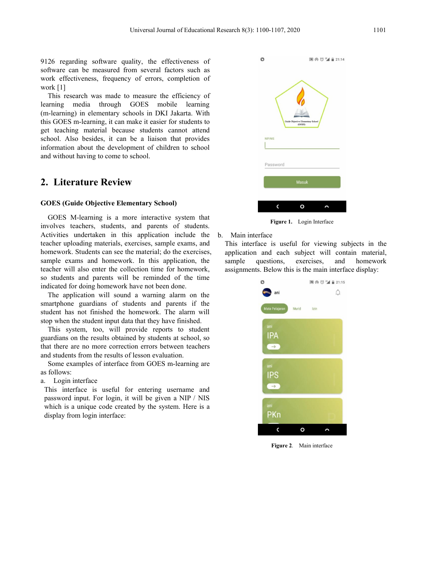Universal Journal of Educational Research 8(3): 1100-1107, 2020<br>9126 regarding software quality, the effectiveness of<br>software can be measured from several factors such as<br>work effectiveness, frequency of errors, completio Universal Journal of Educational Research 8(3): 1100-1107, 2020<br>
9126 regarding software quality, the effectiveness of<br>
software can be measured from several factors such as<br>
work effectiveness, frequency of errors, comple Universal Journal of Educational Research 8(3): 1100-1107, 2020<br>
9126 regarding software quality, the effectiveness of<br>
software can be measured from several factors such as<br>
work effectiveness, frequency of errors, comple Universal Jour<br>
9126 regarding software quality, the eff<br>
software can be measured from several fa<br>
work effectiveness, frequency of errors,<br>
work [1]<br>
This research was made to measure the<br>
learning media through GOES mol

Universal Journal of Educational Research 8(3): 1100-1107, 2020<br>
26 regarding software quality, the effectiveness of<br>
flware can be measured from several factors such as<br>
ork effectiveness, frequency of errors, completion Universal Journal of Educational Research 8(3): 1100-1107, 202<br>
9126 regarding software quality, the effectiveness of<br>
software can be measured from several factors such as<br>
work effectiveness, frequency of errors, complet Universal Journal of Educational Research 8(3): 1100-1107, 2020<br>
9126 regarding software quality, the effectiveness of<br>
software can be measured from several factors such as<br>
work effectiveness, frequency of errors, comple Universal Journal of Educational Research 8(3): 1100-1107, 2020<br>
9126 regarding software quality, the effectiveness of<br>
software can be measured from several factors such as<br>
work effectiveness, frequency of errors, comple Universal Journal of Educational Research 8(3): 1100-1107, 2020<br>
9126 regarding software quality, the effectiveness of<br>
software can be measured from several factors such as<br>
work effectiveness, frequency of errors, comple 9126 regarding software quality, the effectiveness of software can be measured from several factors such as work effectiveness, frequency of errors, completion of work [1] This research was made to measure the efficiency o 9126 regarding software quality, the effectiveness of<br>software can be measured from several factors such as<br>work effectiveness, frequency of errors, completion of<br>work [1]<br>This research was made to measure the efficiency o 9126 regarding software quality, the effectiveness of software can be measured from several factors such as work effectiveness, frequency of errors, completion of work [1] This research was made to measure the efficiency o **2. Literature Review**<br> **2. Literature Review School**<br> **2. Literature Conserved School School School School School School School School School School School School School School School School Also besides, it can be a liai** This research was made to measure the eincrearcy of<br>
learning media through GOES mobile learning<br>
(m-learning) in elementary schools in DKI Jakarta. With<br>
this GOES m-learning, it can make it easier for students to<br>
get te Fraction is a more interactive system that<br>
the action matter interactive system that the discussed students cannot attenting material because students cannot attenting to come to school.<br>
Literature Review and the develop

this GOES m-learning, it can make it easier for students to<br>get teaching material because students cannot attend<br>information about the development of children to school<br>and without having to come to school.<br>**2.** Literature get teaching material because students cannot attend<br>
school. Also besides, it can be a liaison that provides<br>
information about the development of children to school<br>
and without having to come to school.<br>
<br> **2. Literatur** School. Also besides, it can be a liaison that provides<br>
information about the development of children to school<br>
and without having to come to school.<br>
<br> **2. Literature Review**<br>
<br> **3. Conde Objective Elementary School)**<br> information about the development of children to school<br>
and without having to come to school.<br>
<br> **2. Literature Review**<br>
<br> **GOES (Guide Objective Elementary School)**<br>
<br>
GOES M-learning is a more interactive system that<br>
<br> **Example exams and book and the control of the control of the sample exams and parents are application in this application in this application in the sample exams and bomework. In this application in the sample exams and b 2. Literature Review**<br> **GOES (Guide Objective Elementary School)**<br>
GOES M-learning is a more interactive system that<br>
involves teachers, students, and parents of students.<br>
Activities undertaken in this application inclu **2. Literature Review**<br> **GOES** (Guide Objective Elementary School)<br>
GOES M-learning is a more interactive system that<br>
involves teachers, students, and parents of students.<br>
Activities undertaken in this application inclu **2. Literature Review**<br> **GOES (Guide Objective Elementary School)**<br> **GOES** M-learning is a more interactive system that<br>
involves teachers, students, and parents of students.<br>
Activities undertaken in this application inc **OES (Guide Objective Elementary School)**<br>
GOES M-learning is a more interactive system that<br>
volves teachers, students, and parents of students.<br>
tivities undertaken in this application include the b. Main interface<br>
ther **GOES (Guide Objective Elementary School)**<br>
GOES M-learning is a more interactive system that<br>
involves teachers, students, and parents of students.<br>
Activities undertaken in this application include the b. Main interface<br> STES (Called Capterix Entertainmin, yethox),<br>
involves teachers, students,<br>
Activities undertaken in this application include the b. Main interface<br>
Activities undertaken in this application include the b. Main interface<br> GOES M-learning is a more interactive system that<br>
involves teachers, students, and parents of students.<br>
Activities undertaken in this application include the b. Main interface<br>
teacher uploading materials, exercises, sam Figure 1. This system, too, will provide reports to students.<br>
Show the system in this application include the b. Main interface<br>
then uphoding materials, exercises, sample exams, and This interface is useful<br>
melve to stu Activities undertaken in this application include the b. Main interface<br>teacher uploading materials, exercises, sample exams, and This interface is useful for<br>homework. Students can see the material; do the exercises, appl teacher uploading materials, exercises, sample exams, and This interface is useful<br>homework. Students can see the material; do the exercises, application and each s<br>sample exams and homework. In this application, the sampl homework. Students can see the material; do the exercises,<br>sample exams and homework. In this application, the<br>teacher will also enter the collection time for homework,<br>so students and parents will be reminded of the time<br>

teacher will also enter the collection tim<br>so students and parents will be remin<br>indicated for doing homework have not b<br>The application will sound a warnin<br>smartphone guardians of students and<br>student has not finished the so students and parents will be reminded of indicated for doing homework have not been done<br>The application will sound a warning alarm<br>smartphone guardians of students and parent<br>student has not finished the homework. The tudent has not finished the homework. The alarm will<br>top when the student input data that they have finished.<br>This system, too, will provide reports to student<br>uardians on the results obtained by students at school, so<br>nat



Password<br> **Example 2018**<br> **Assure Main interface**<br> **Assure 1.** Login Interface<br> **Case 1.** Login Interface<br> **Case 1.** Login Interface<br> **Case 1.** Login Interface<br> **Case 1.** Case 2. 21:15<br> **Case 1.** 21:15

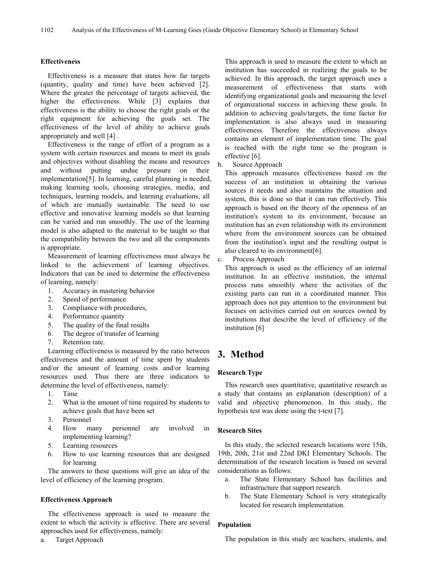### **Effectiveness**

Effectiveness is a measure that states how far targets (quantity, quality and time) have been achieved [2]. Where the greater the percentage of targets achieved, the higher the effectiveness. While [3] explains that effectiveness is the ability to choose the right goals or the right equipment for achieving the goals set. The effectiveness of the level of ability to achieve goals appropriately and well [4] .

Effectiveness is the range of effort of a program as a system with certain resources and means to meet its goals and objectives without disabling the means and resources b and without putting undue pressure on their implementation[5]. In learning, careful planning is needed, making learning tools, choosing strategies, media, and techniques, learning models, and learning evaluations, all of which are mutually sustainable. The need to use effective and innovative learning models so that learning can be varied and run smoothly. The use of the learning model is also adapted to the material to be taught so that the compatibility between the two and all the components is appropriate.

Measurement of learning effectiveness must always be  $\epsilon$ linked to the achievement of learning objectives. Indicators that can be used to determine the effectiveness of learning, namely:

- 1. Accuracy in mastering behavior
- 2. Speed of performance
- 3. Compliance with procedures,
- 4. Performance quantity
- 5. The quality of the final results
- 6. The degree of transfer of learning
- 7. Retention rate.

Learning effectiveness is measured by the ratio between effectiveness and the amount of time spent by students and/or the amount of learning costs and/or learning resources used. Thus there are three indicators to determine the level of effectiveness, namely:

- 1. Time
- 2. What is the amount of time required by students to achieve goals that have been set
- 3. Personnel
- 4. How many personnel are involved in **Research Sites** implementing learning?
- 5. Learning resources
- 6. How to use learning resources that are designed for learning

The answers to these questions will give an idea of the level of efficiency of the learning program.

### **Effectiveness Approach**

The effectiveness approach is used to measure the extent to which the activity is effective. There are several approaches used for effectiveness, namely:

a. Target Approach

This approach is used to measure the extent to which an institution has succeeded in realizing the goals to be achieved. In this approach, the target approach uses a measurement of effectiveness that starts with identifying organizational goals and measuring the level of organizational success in achieving these goals. In addition to achieving goals/targets, the time factor for implementation is also always used in measuring effectiveness. Therefore the effectiveness always contains an element of implementation time. The goal is reached with the right time so the program is effective [6].

Source Approach

This approach measures effectiveness based on the success of an institution in obtaining the various sources it needs and also maintains the situation and system, this is done so that it can run effectively. This approach is based on the theory of the openness of an institution's system to its environment, because an institution has an even relationship with its environment where from the environment sources can be obtained from the institution's input and the resulting output is also cleared to its environment[6].

Process Approach

This approach is used as the efficiency of an internal institution. In an effective institution, the internal process runs smoothly where the activities of the existing parts can run in a coordinated manner. This approach does not pay attention to the environment but focuses on activities carried out on sources owned by institutions that describe the level of efficiency of the institution [6]

# **3. Method**

### **Research Type**

This research uses quantitative, quantitative research as a study that contains an explanation (description) of a valid and objective phenomenon. In this study, the hypothesis test was done using the t-test [7].

In this study, the selected research locations were 15th, 19th, 20th, 21st and 22nd DKI Elementary Schools. The determination of the research location is based on several considerations as follows:

- a. The State Elementary School has facilities and infrastructure that support research.
- b. The State Elementary School is very strategically located for research implementation.

### **Population**

The population in this study are teachers, students, and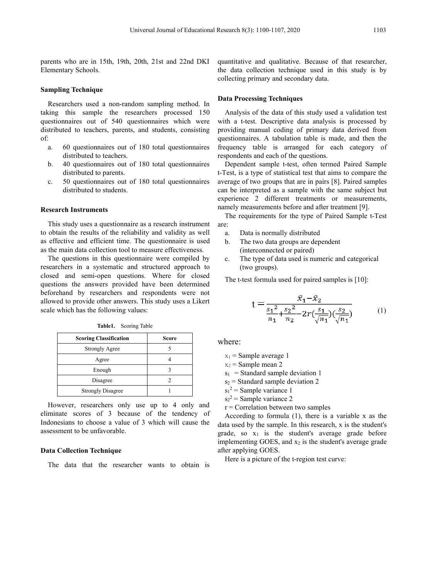Universal Journal of Educational Research 8(3): 1100-1107, 2020<br>
parents who are in 15th, 19th, 20th, 21st and 22nd DKI quantitative and qualitative. Elementary Schools.<br>
Sampling Technique<br>
Sampling Technique Universal Journal of H<br>
parents who are in 15th, 19th, 20th, 21st and 22<br>
Elementary Schools.<br>
Sampling Technique<br>
Researchers used a non-random sampling me

Universal Journal of<br>
parents who are in 15th, 19th, 20th, 21st and 2<br>
Elementary Schools.<br> **Sampling Technique**<br>
Researchers used a non-random sampling m<br>
taking this sample the researchers proces<br>
questionnaires out of 5 Universal Journal of Educational Research 8(3): 1100-1107, 2020<br>
rents who are in 15th, 19th, 20th, 21st and 22nd DKI quantitative and qualitative. Be<br>
the data collection technique<br>
where the data collection technique<br> **m** Universal Journal of Educational Research 8(3): 1100-1107, 2020<br>
parents who are in 15th, 19th, 20th, 21st and 22nd DKI quantitative and qualitative. B<br>
Elementary Schools.<br>
the data collecting primary and secondar<br> **Sampl** Universal Journal of Educational Research 8(3): 1100-1107, 2020<br>
parents who are in 15th, 19th, 20th, 21st and 22nd DKI quantitative and qualitative. I<br>
Elementary Schools.<br> **Sampling Technique**<br> **Sampling Technique**<br>
Rese Universal Journal of Educational Research 8(3): 1100-1107, 2<br>
parents who are in 15th, 19th, 20th, 21st and 22nd DKI quantitative and qualitat<br>
Elementary Schools.<br> **Sampling Technique**<br>
Researchers used a non-random sampl of: rents who are in 15th, 19th, 20th, 21st and 22nd DKI quantitative and quamelementary Schools.<br> **a.** 60 questionnaires out of 180 total questionnaires out of 180 total questionnaires and the distributed to teachers, parents who are in 15th, 19th, 20th, 21st and 22nd DKI<br>tary Schools.<br>**ng Technique**<br>archers used a non-random sampling method. In<br>this sample the researchers processed 150<br>maires out of 540 questionnaires which were<br>ted to teacher rents who are in 15th, 19th, 20th, 21st and 22nd DKI quantitative and quanternatary Schools.<br> **Complementary** Schools.<br> **Complementary** Schools.<br> **Complementary** Schools.<br> **Complementary** and the data collecting primary an tary Schools.<br> **ng Technique**<br>
archers used a non-random sampling method. In<br>
this sample the researchers processed 150<br>
maires out of 540 questionnaires which were<br>
ted to teachers, parents, and students, consisting<br>
60 q collecting primary an<br>
experience the researchers processed 150<br>
ting this sample the researchers processed 150<br>
Analysis of the da<br>
estionnaires out of 540 questionnaires which were with a t-test. Description<br>
consisting **ng Technique**<br>archers used a non-random sampling method. In<br>this sample the researchers processed 150<br>maires out of 540 questionnaires which were<br>ted to teachers, parents, and students, consisting<br>60 questionnaires out of Researchers used a non-random sampling m<br>taking this sample the researchers proces<br>questionnaires out of 540 questionnaires wh<br>distributed to teachers, parents, and students,<br>of:<br>a. 60 questionnaires out of 180 total ques<br>

- 
- 
- 

estionnaires out of 540 questionnaires which were with a t-test. Descriptive<br>tributed to teachers, parents, and students, consisting providing manual codin<br>questionnaires out of 180 total questionnaires frequency table is distributed to teachers, parents, and students, consisting providing manual coding of p<br>
of:<br>
a. 60 questionnaires out of 180 total questionnaires frequency table is arranged<br>
the questionnaires out of 180 total questionna of:<br>
a. 60 questionnaires out of 180 total questionnaires frequency table is arranged<br>
distributed to teachers.<br>
40 questionnaires out of 180 total questionnaires<br>
distributed to parents.<br>
c. 50 questionnaires out of 180 t a. 60 questionnaires out of 180 total questionnaires frequency table in distributed to teachers.<br>
b. 40 questionnaires out of 180 total questionnaires Dependent samples distributed to parents.<br>
c. 50 questionnaires out of

distributed to teachers. The promodents and each of the questionnaires out of 180 total questionnaires compiled the set of the distributed to parents.<br>
C. SO questionnaires out of 180 total questionnaires are also they are **Example 10** to the distributed to parents.<br> **Example 10** total questionnaires are the there is the distributed to students.<br> **Example 10** total questionnaires are the interpret and be interpreted as a sample we<br>
experien distributed to parents.<br>
c. 50 questionnaires out of 180 total questionnaires average of two groups that a<br>
distributed to students.<br> **Research Instruments**<br> **Research Instruments**<br> **Research Instruments**<br> **Research Instr** c. 50 questionnaires out of 180 total questionnaires average of two groups that distributed to students.<br> **Research Instruments** and the interpreted as a experience 2 differen namely measurements both the results of the r distributed to students.<br> **Research Instruments**<br> **Research Instruments**<br>
This study uses a questionnaire as a research instrument are:<br>
to obtain the results of the reliability and validity as well<br>
a. Data is normally d **Research Instruments**<br> **Research Instruments**<br>
This study uses a questionnaire as a research instrument are:<br>
to obtain the results of the reliability and validity as well<br>
a. Data is normally distr<br>
as effective and eff **Example 11**<br> **Research Instruments**<br>
This study uses a questionnaire as a research instrument are:<br>
to obtain the results of the reliability and validity as well<br>
as effective and efficient time. The questionnaire is used Fraction time. The questionnaire is used<br>
lection tool to measure effectiveness.<br>
this questionnaire were compiled by<br>
systematic and structured approach to<br>
open questions. Where for closed<br>
vers provided have been determ tions in this questionnaire were compiled by<br>
in a systematic and structured approach to<br>
semi-open questions. Where for closed<br>
ne answers provided have been determined<br>
by researchers and respondents were not<br>
rovide oth a systematic and structured approach to<br>
emi-open questions. Where for closed<br>
answers provided have been determined<br>
researchers and respondents were not<br>
vide other answers. This study uses a Likert<br>
strongly Agree S<br>
St

| allowed to provide other answers. This study uses a Likert<br>scale which has the following values:<br>Table1. Scoring Table                                                                                                                                                          |                | $\lambda_1 - \lambda$<br>n <sub>2</sub><br>$\boldsymbol{n}_1$                                                                                                                                                                                                                     |
|---------------------------------------------------------------------------------------------------------------------------------------------------------------------------------------------------------------------------------------------------------------------------------------|----------------|-----------------------------------------------------------------------------------------------------------------------------------------------------------------------------------------------------------------------------------------------------------------------------------|
| <b>Scoring Classification</b>                                                                                                                                                                                                                                                         | <b>Score</b>   | where:                                                                                                                                                                                                                                                                            |
| <b>Strongly Agree</b>                                                                                                                                                                                                                                                                 | 5              |                                                                                                                                                                                                                                                                                   |
| Agree                                                                                                                                                                                                                                                                                 | 4              | $x_1$ = Sample average 1                                                                                                                                                                                                                                                          |
| Enough                                                                                                                                                                                                                                                                                | 3              | $x_2$ = Sample mean 2<br>$s_1$ = Standard sample deviation                                                                                                                                                                                                                        |
| Disagree                                                                                                                                                                                                                                                                              | $\overline{2}$ | $s_2$ = Standard sample deviation                                                                                                                                                                                                                                                 |
| <b>Strongly Disagree</b>                                                                                                                                                                                                                                                              | 1              | $s_1^2$ = Sample variance 1                                                                                                                                                                                                                                                       |
| However, researchers only use up to 4 only and<br>eliminate scores of 3 because of the tendency of<br>Indonesians to choose a value of 3 which will cause the<br>assessment to be unfavorable.<br><b>Data Collection Technique</b><br>The data that the researcher wants to obtain is |                | $s_2^2$ = Sample variance 2<br>$r =$ Correlation between two sar<br>According to formula (1), then<br>data used by the sample. In this re<br>grade, so $x_1$ is the student's<br>implementing GOES, and $x_2$ is the<br>after applying GOES.<br>Here is a picture of the t-region |

Research 8(3): 1100-1107, 2020<br>quantitative and qualitative. Because of that researcher,<br>the data collection technique used in this study is by<br>collecting primary and secondary data. Research 8(3): 1100-1107, 2020<br>quantitative and qualitative. Because of that researcher,<br>the data collection technique used in this study is by<br>collecting primary and secondary data.<br>**Data Processing Techniques** Research 8(3): 1100-1107, 2020<br>
1103<br>
1103<br>
1103<br>
1103<br>
1103<br>
1103<br>
1103<br>
1103<br>
1103<br>
1103<br>
1103<br>
1103<br>
1103<br>
1103<br>
1103<br>
1103<br>
1103<br>
1103<br>
1103<br>
1103<br>
1103<br>
1103<br>
1103<br>
1203<br>
1203<br>
1204<br>
1204<br>
1204<br>
1204<br>
1204<br>
1204<br>
1204

Research 8(3): 1100-1107, 2020<br>
11<br>
quantitative and qualitative. Because of that research<br>
the data collection technique used in this study is<br>
collecting primary and secondary data.<br> **Data Processing Techniques**<br>
Analysi Search 8(3): 1100-1107, 2020<br>
antitative and qualitative. Because of that researcher,<br>
e data collection technique used in this study is by<br>
llecting primary and secondary data.<br> **Analysis of the data of this study used a** with a t-test. Descriptive data analysis is processed by Research 8(3): 1100-1107, 2020<br>
1103<br>
quantitative and qualitative. Because of that researcher,<br>
the data collection technique used in this study is by<br>
collecting primary and secondary data.<br> **Data Processing Techniques**<br> quantitative and qualitative. Because of that researcher,<br>the data collection technique used in this study is by<br>collecting primary and secondary data.<br>**Data Processing Techniques**<br>Analysis of the data of this study used a quantitative and qualitative. Because of that researcher,<br>the data collection technique used in this study is by<br>collecting primary and secondary data.<br>**Data Processing Techniques**<br>Analysis of the data of this study used a quantitative and qualitative. Because of that researcher,<br>the data collection technique used in this study is by<br>collecting primary and secondary data.<br>**Data Processing Techniques**<br>Analysis of the data of this study used a antitative and qualitative. Because of that researcher,<br>
e data collection technique used in this study is by<br>
llecting primary and secondary data.<br> **Analysis of the data of this study used a validation test**<br>
th a t-test. the data collection technique used in this study is by<br>
collecting primary and secondary data.<br> **Data Processing Techniques**<br>
Analysis of the data of this study used a validation test<br>
with a t-test. Descriptive data analy collecting primary and secondary data.<br> **Data Processing Techniques**<br>
Analysis of the data of this study used a validation test<br>
with a t-test. Descriptive data analysis is processed by<br>
providing manual coding of primary **Data Processing Techniques**<br>
Analysis of the data of this study used a validation test<br>
with a t-test. Descriptive data analysis is processed by<br>
providing manual coding of primary data derived from<br>
questionnaires. A tab **Data Processing Techniques**<br>
Analysis of the data of this study used a validation test<br>
with a t-test. Descriptive data analysis is processed by<br>
providing manual coding of primary data derived from<br>
questionnaires. A tab Analysis of the data of this study used a validation test<br>with a t-test. Descriptive data analysis is processed by<br>providing manual coding of primary data derived from<br>questionnaires. A tabulation table is made, and then t Analysis of the data of this study used a validation test<br>th a t-test. Descriptive data analysis is processed by<br>oviding manual coding of primary data derived from<br>estionnaires. A tabulation table is made, and then the<br>que

oriding manual coding of primary data derived from<br>estionnaires. A tabulation table is made, and then the<br>equency table is arranged for each category of<br>spondents and each of the questions.<br>Dependent sample t-test, often t estionnaires. A tabulation table is made, and then the<br>equency table is arranged for each category of<br>spondents and each of the questions.<br>Dependent sample t-test, often termed Paired Sample<br>fest, is a type of statistical cy table is arranged for each category of<br>lents and each of the questions.<br>mdent sample t-test, often termed Paired Sample<br>is a type of statistical test that aims to compare the<br>of two groups that are in pairs [8]. Paired spondents and each of the questions.<br>
Dependent sample t-test, often termed Paired Sample<br>
Fest, is a type of statistical test that aims to compare the<br>
erage of two groups that are in pairs [8]. Paired samples<br>
n be inter mdent sample t-test, often termed Paired<br>is a type of statistical test that aims to comp<br>of two groups that are in pairs [8]. Paired s<br>interpreted as a sample with the same sub-<br>measurements before and after treatment [9<br> For the transformation and the transformation of the same subject but<br>perience 2 different treatments or measurements, measurements before and after treatment [9].<br>The requirements before and after treatment [9].<br>The requ

are:

- 
- 
- 

(interconnected or paired)  
\nc. The type of data used is numeric and categorical  
\n(two groups).  
\nThe t-test formula used for paired samples is [10]:  
\n
$$
t = \frac{\bar{x}_1 - \bar{x}_2}{\frac{s_1^2}{n_1} + \frac{s_2^2}{n_2} - 2r(\frac{s_1}{\sqrt{n_1}})(\frac{s_2}{\sqrt{n_1}})}
$$
\nthere:  
\nx<sub>1</sub> = Sample average 1  
\nx<sub>2</sub> = Sample mean 2  
\nx<sub>1</sub> = Standard sample deviation 1  
\ns<sub>2</sub> = Standard sample deviation 2  
\ns<sub>1</sub><sup>2</sup> = Sample variance 1  
\ns<sub>2</sub><sup>2</sup> = Sample variance 2  
\nr = Correlation between two samples  
\nAccording to formula (1), there is a variable x as the  
\nta used by the sample. In this research, x is the student's  
\nade, so, x, is the student's average grade before

- 
- 

- $s_1^2$  = Sample variance 1
- $s_2^2$  = Sample variance 2
- 

 $t = \frac{1}{s_1^2 + s_2^2 - 2r(\frac{s_1}{\sqrt{n_1}})(\frac{s_2}{\sqrt{n_1}})}$  (1)<br>
here:<br>  $x_1 =$ Sample average 1<br>  $x_2 =$ Sample mean 2<br>  $s_1 =$ Standard sample deviation 1<br>  $s_2 =$ Standard sample deviation 2<br>  $s_1^2 =$ Sample variance 2<br>  $s_1^2 =$ Sample v  $\frac{31}{n_1} + \frac{32}{n_2} - 2r(\frac{31}{\sqrt{n_1}})(\frac{32}{\sqrt{n_1}})$  (1)<br>
here:<br>  $x_1 =$  Sample average 1<br>  $x_2 =$  Sample mean 2<br>  $s_1 =$  Standard sample deviation 1<br>  $s_2 =$  Standard sample deviation 2<br>  $s_1^2 =$  Sample variance 2<br>  $r =$  Cor *n*<sub>1</sub> *n*<sub>2</sub>  $\sqrt{n_1}$  $\sqrt{n_1}$ <br>where:<br> $x_1 =$  Sample average 1<br> $x_2 =$  Sample mean 2<br> $s_1 =$  Standard sample deviation 1<br> $s_2 =$  Standard sample deviation 2<br> $s_1^2 =$  Sample variance 2<br> $r =$  Correlation between two samples<br>A where:<br>  $x_1$  = Sample average 1<br>  $x_2$  = Sample mean 2<br>  $s_1$  = Standard sample deviation 1<br>  $s_2$  = Standard sample deviation 2<br>  $s_1^2$  = Sample variance 2<br>  $r$  = Correlation between two samples<br>
According to formula ( where:<br>  $x_1$  = Sample average 1<br>  $x_2$  = Sample mean 2<br>  $s_1$  = Standard sample deviation 1<br>  $s_2$  = Standard sample deviation 2<br>  $s_1^2$  = Sample variance 1<br>  $s_2^2$  = Sample variance 2<br>  $r$  = Correlation between two sa x<sub>1</sub> = Sample average 1<br>
x<sub>2</sub> = Sample mean 2<br>
s<sub>1</sub> = Standard sample deviation 1<br>
s<sub>2</sub> = Standard sample deviation 2<br>
s<sub>1</sub><sup>2</sup> = Sample variance 1<br>
s<sub>2</sub><sup>2</sup> = Sample variance 2<br>
r = Correlation between two samples<br>
Accordi  $x_1$  = Sample average 1<br>  $x_2$  = Sample mean 2<br>  $s_1$  = Standard sample deviation 1<br>  $s_2$  = Standard sample deviation 2<br>  $s_1$ <sup>2</sup> = Sample variance 1<br>  $s_2$ <sup>2</sup> = Sample variance 2<br>  $r$  = Correlation between two samples<br>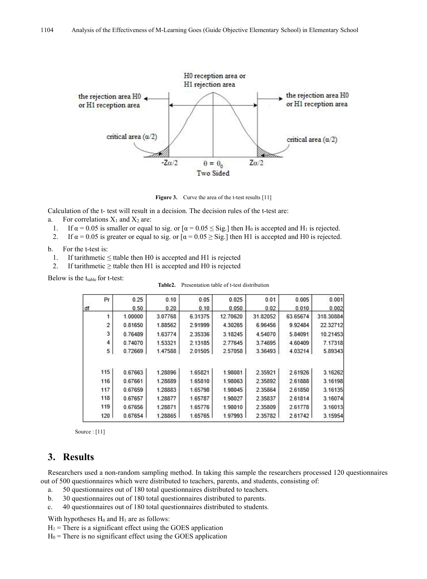

**Figure 3.** Curve the area of the t-test results [11]

Calculation of the t- test will result in a decision. The decision rules of the t-test are:

- a. For correlations  $X_1$  and  $X_2$  are:
	- 1. If  $\alpha = 0.05$  is smaller or equal to sig. or  $\alpha = 0.05 \le$  Sig.] then H<sub>0</sub> is accepted and H<sub>1</sub> is rejected.
	- 2. If  $\alpha = 0.05$  is greater or equal to sig. or  $\alpha = 0.05 \ge$  Sig.] then H1 is accepted and H0 is rejected.
- b. For the t-test is:
	- 1. If tarithmetic  $\leq$  ttable then H0 is accepted and H1 is rejected
	- 2. If tarithmetic  $\geq$  ttable then H1 is accepted and H0 is rejected

Below is the  $t_{table}$  for t-test:

| <b>Table2.</b> Presentation table of t-test distribution |  |
|----------------------------------------------------------|--|
|                                                          |  |

| Pr  | 0.25    | 0.10    | 0.05    | 0.025    | 0.01     | 0.005    | 0.001     |
|-----|---------|---------|---------|----------|----------|----------|-----------|
| df  | 0.50    | 0.20    | 0.10    | 0.050    | 0.02     | 0.010    | 0.002     |
|     | 1.00000 | 3.07768 | 6.31375 | 12.70620 | 31.82052 | 63.65674 | 318.30884 |
| 2   | 0.81650 | 1.88562 | 2.91999 | 4.30265  | 6.96456  | 9.92484  | 22.32712  |
| 3   | 0.76489 | 1.63774 | 2.35336 | 3.18245  | 4.54070  | 5.84091  | 10.21453  |
| 4   | 0.74070 | 1.53321 | 2.13185 | 2.77645  | 3.74695  | 4.60409  | 7.17318   |
| 5   | 0.72669 | 1.47588 | 2.01505 | 2.57058  | 3.36493  | 4.03214  | 5.89343   |
|     |         |         |         |          |          |          |           |
| 115 | 0.67663 | 1.28896 | 1.65821 | 1.98081  | 2.35921  | 2.61926  | 3.16262   |
| 116 | 0.67661 | 1.28889 | 1.65810 | 1.98063  | 2.35892  | 2.61888  | 3.16198   |
| 117 | 0.67659 | 1.28883 | 1.65798 | 1.98045  | 2.35864  | 2.61850  | 3.16135   |
| 118 | 0.67657 | 1.28877 | 1.65787 | 1.98027  | 2.35837  | 2.61814  | 3.16074   |
| 119 | 0.67656 | 1.28871 | 1.65776 | 1.98010  | 2.35809  | 2.61778  | 3.16013   |
| 120 | 0.67654 | 1.28865 | 1.65765 | 1.97993  | 2.35782  | 2.61742  | 3.15954   |

Source : [11]

# **3. Results**

Researchers used a non-random sampling method. In taking this sample the researchers processed 120 questionnaires out of 500 questionnaires which were distributed to teachers, parents, and students, consisting of:

- a. 50 questionnaires out of 180 total questionnaires distributed to teachers.
- b. 30 questionnaires out of 180 total questionnaires distributed to parents.
- c. 40 questionnaires out of 180 total questionnaires distributed to students.<br>With hypotheses H<sub>0</sub> and H<sub>1</sub> are as follows:

 $H_1$  = There is a significant effect using the GOES application

 $H<sub>0</sub>$  = There is no significant effect using the GOES application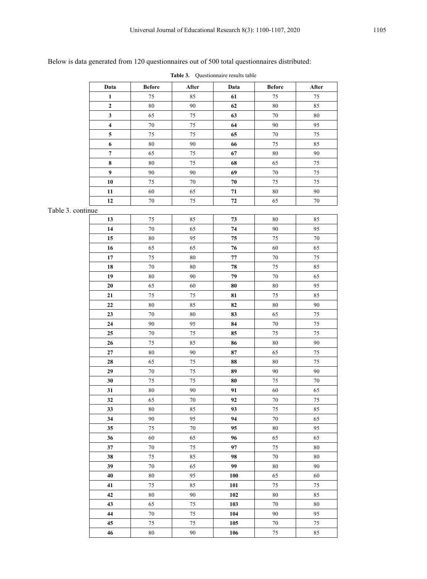# Below is data generated from 120 questionnaires out of 500 total questionnaires distributed:

|--|

|                   | Data                    | <b>Before</b> | ${\bf After}$ | Data       | <b>Before</b> | After  |
|-------------------|-------------------------|---------------|---------------|------------|---------------|--------|
|                   | $\mathbf 1$             | 75            | 85            | 61         | 75            | 75     |
|                   | $\boldsymbol{2}$        | $\rm 80$      | 90            | 62         | $\rm 80$      | 85     |
|                   | $\mathbf{3}$            | 65            | 75            | 63         | $70\,$        | $80\,$ |
|                   | $\overline{\mathbf{4}}$ | $70\,$        | 75            | 64         | 90            | 95     |
|                   | ${\bf 5}$               | 75            | 75            | 65         | $70\,$        | $75\,$ |
|                   | $\bf 6$                 | $80\,$        | 90            | 66         | 75            | 85     |
|                   | $\boldsymbol{7}$        | 65            | 75            | 67         | $\bf 80$      | 90     |
|                   | $\pmb{8}$               | $80\,$        | 75            | 68         | 65            | 75     |
|                   | 9                       | 90            | 90            | 69         | $70\,$        | $75\,$ |
|                   | ${\bf 10}$              | 75            | 70            | ${\bf 70}$ | 75            | 75     |
|                   | 11                      | 60            | 65            | ${\bf 71}$ | $\bf 80$      | $90\,$ |
|                   | 12                      | $70\,$        | 75            | ${\bf 72}$ | 65            | $70\,$ |
| Table 3. continue |                         |               |               |            |               |        |
|                   | 13                      | 75            | 85            | $73\,$     | $80\,$        | 85     |
|                   | 14                      | $70\,$        | 65            | ${\bf 74}$ | 90            | 95     |
|                   | 15                      | $80\,$        | 95            | $75\,$     | 75            | $70\,$ |
|                   | 16                      | 65            | 65            | 76         | 60            | 65     |
|                   | $\bf 17$                | 75            | 80            | $77\,$     | $70\,$        | $75\,$ |
|                   | 18                      | $70\,$        | 80            | ${\bf 78}$ | 75            | 85     |
|                   | 19                      | $80\,$        | 90            | 79         | $70\,$        | 65     |
|                   | ${\bf 20}$              | 65            | 60            | 80         | $\bf 80$      | 95     |
|                   | 21                      | 75            | $75\,$        | 81         | $75\,$        | 85     |
|                   | $\bf{22}$               | $80\,$        | 85            | 82         | $80\,$        | $90\,$ |
|                   | 23                      | $70\,$        | 80            | 83         | 65            | $75\,$ |
|                   | ${\bf 24}$              | 90            | 95            | 84         | $70\,$        | $75\,$ |
|                   | 25                      | $70\,$        | 75            | 85         | 75            | 75     |
|                   | 26                      | 75            | 85            | 86         | 80            | 90     |
|                   | $\bf 27$                | $80\,$        | 90            | 87         | 65            | 75     |
|                   | ${\bf 28}$              | 65            | 75            | 88         | $\bf 80$      | $75\,$ |
|                   | 29                      | $70\,$        | 75            | 89         | 90            | 90     |
|                   | 30                      | 75            | 75            | 80         | 75            | 70     |
|                   | 31                      | $80\,$        | 90            | 91         | 60            | 65     |
|                   | 32                      | 65            | $70\,$        | 92         | $70\,$        | $75\,$ |
|                   | 33                      | 80            | 85            | 93         | 75            | 85     |
|                   | 34                      | 90            | 95            | 94         | $70\,$        | 65     |
|                   | 35                      | 75            | 70            | 95         | $80\,$        | 95     |
|                   | 36                      | 60            | 65            | 96         | 65            | 65     |
|                   | $\mathbf{37}$           | $70\,$        | 75            | 97         | $75\,$        | $80\,$ |
|                   | 38                      | $75\,$        | 85            | 98         | $70\,$        | $80\,$ |
|                   | 39                      | $70\,$        | 65            | 99         | $80\,$        | $90\,$ |
|                   | 40                      | $80\,$        | 95            | 100        | 65            | 60     |
|                   | 41                      | $75\,$        | 85            | 101        | 75            | $75\,$ |
|                   | 42                      | 80            | 90            | 102        | $80\,$        | 85     |
|                   | 43                      | 65            | 75            | 103        | $70\,$        | $80\,$ |
|                   | $\bf 44$                | $70\,$        | 75            | 104        | 90            | 95     |
|                   | 45                      | $75\,$        | $75\,$        | 105        | $70\,$        | $75\,$ |
|                   | 46                      | $80\,$        | 90            | 106        | 75            | 85     |
|                   |                         |               |               |            |               |        |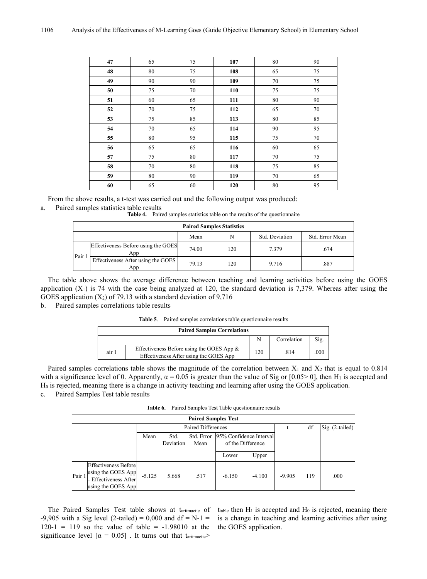| 47 | 65 | 75     | 107 | 80 | 90 |
|----|----|--------|-----|----|----|
| 48 | 80 | 75     | 108 | 65 | 75 |
| 49 | 90 | 90     | 109 | 70 | 75 |
| 50 | 75 | $70\,$ | 110 | 75 | 75 |
| 51 | 60 | 65     | 111 | 80 | 90 |
| 52 | 70 | 75     | 112 | 65 | 70 |
| 53 | 75 | 85     | 113 | 80 | 85 |
| 54 | 70 | 65     | 114 | 90 | 95 |
| 55 | 80 | 95     | 115 | 75 | 70 |
| 56 | 65 | 65     | 116 | 60 | 65 |
| 57 | 75 | 80     | 117 | 70 | 75 |
| 58 | 70 | 80     | 118 | 75 | 85 |
| 59 | 80 | 90     | 119 | 70 | 65 |
| 60 | 65 | 60     | 120 | 80 | 95 |

From the above results, a t-test was carried out and the following output was produced:

### a. Paired samples statistics table results

**Table 4.** Paired samples statistics table on the results of the questionnaire

| <b>Paired Samples Statistics</b> |                                                |       |     |       |      |  |  |  |
|----------------------------------|------------------------------------------------|-------|-----|-------|------|--|--|--|
|                                  | Std. Deviation<br>Std. Error Mean<br>N<br>Mean |       |     |       |      |  |  |  |
|                                  | Effectiveness Before using the GOES<br>App     | 74.00 | 120 | 7.379 | .674 |  |  |  |
| Pair                             | Effectiveness After using the GOES<br>App      | 79.13 | 120 | 9.716 | .887 |  |  |  |

The table above shows the average difference between teaching and learning activities before using the GOES application  $(X_1)$  is 74 with the case being analyzed at 120, the standard deviation is 7,379. Whereas after using the GOES application  $(X_2)$  of 79.13 with a standard deviation of 9,716

b. Paired samples correlations table results

| <b>Paired Samples Correlations</b> |                                                                                        |     |             |      |  |  |
|------------------------------------|----------------------------------------------------------------------------------------|-----|-------------|------|--|--|
|                                    |                                                                                        |     | Correlation | Sig. |  |  |
| air 1                              | Effectiveness Before using the GOES App $\&$<br>Effectiveness After using the GOES App | 120 | .814        | .000 |  |  |

Paired samples correlations table shows the magnitude of the correlation between  $X_1$  and  $X_2$  that is equal to 0.814 with a significance level of 0. Apparently,  $\alpha = 0.05$  is greater than the value of Sig or [0.05> 0], then H<sub>1</sub> is accepted and H<sup>0</sup> is rejected, meaning there is a change in activity teaching and learning after using the GOES application. c. Paired Samples Test table results

**Table 6.** Paired Samples Test Table questionnaire results

| <b>Paired Samples Test</b> |                                                                                           |          |           |            |                         |                                                             |          |     |      |
|----------------------------|-------------------------------------------------------------------------------------------|----------|-----------|------------|-------------------------|-------------------------------------------------------------|----------|-----|------|
| Paired Differences         |                                                                                           |          |           |            | df                      | $\left  \text{Sig.} \left( 2\text{-tailed} \right) \right $ |          |     |      |
|                            |                                                                                           | Mean     | Std.      | Std. Error | 95% Confidence Interval |                                                             |          |     |      |
|                            |                                                                                           |          | Deviation | Mean       | of the Difference       |                                                             |          |     |      |
|                            |                                                                                           |          |           |            | Lower                   | Upper                                                       |          |     |      |
| Pair 1                     | Effectiveness Before<br>using the GOES App<br>- Effectiveness After<br>using the GOES App | $-5.125$ | 5.668     | .517       | $-6.150$                | $-4.100$                                                    | $-9.905$ | 119 | .000 |

The Paired Samples Test table shows at taritmaetic of  $-9,905$  with a Sig level (2-tailed) = 0,000 and df = N-1 =  $120-1 = 119$  so the value of table =  $-1.98010$  at the significance level  $\left[\alpha = 0.05\right]$ . It turns out that t<sub>aritmaetic</sub>

 $t_{table}$  then  $H_1$  is accepted and  $H_0$  is rejected, meaning there is a change in teaching and learning activities after using the GOES application.